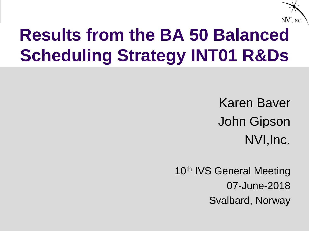

### **Results from the BA 50 Balanced Scheduling Strategy INT01 R&Ds**

Karen Baver John Gipson NVI,Inc.

10<sup>th</sup> IVS General Meeting 07-June-2018 Svalbard, Norway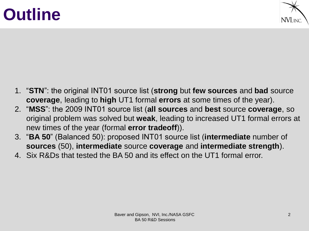### **Outline**



- 1. "**STN**": the original INT01 source list (**strong** but **few sources** and **bad** source **coverage**, leading to **high** UT1 formal **errors** at some times of the year).
- 2. "**MSS**": the 2009 INT01 source list (**all sources** and **best** source **coverage**, so original problem was solved but **weak**, leading to increased UT1 formal errors at new times of the year (formal **error tradeoff**)).
- 3. "**BA 50**" (Balanced 50): proposed INT01 source list (**intermediate** number of **sources** (50), **intermediate** source **coverage** and **intermediate strength**).
- 4. Six R&Ds that tested the BA 50 and its effect on the UT1 formal error.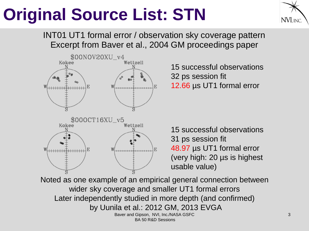### **Original Source List: STN**



Excerpt from Baver et al., 2004 GM proceedings paper INT01 UT1 formal error / observation sky coverage pattern



15 successful observations 32 ps session fit 12.66 µs UT1 formal error

15 successful observations 31 ps session fit 48.97 µs UT1 formal error (very high: 20 µs is highest usable value)

Baver and Gipson, NVI, Inc./NASA GSFC BA 50 R&D Sessions Noted as one example of an empirical general connection between wider sky coverage and smaller UT1 formal errors Later independently studied in more depth (and confirmed) by Uunila et al.: 2012 GM, 2013 EVGA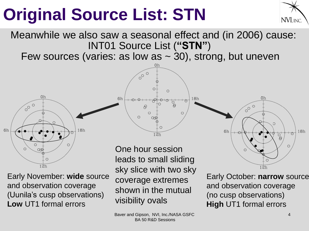### **Original Source List: STN**



Meanwhile we also saw a seasonal effect and (in 2006) cause: INT01 Source List (**"STN"**)

Few sources (varies: as low as  $\sim$  30), strong, but uneven

 $\bigcap$ 

Œ

 $\circ$ 

 $12h$ 

 $\circ$ 

Ř

.8h

 $\sqrt{\circ}$ 

 $\Theta$ 

 $\circ$ 



Early November: **wide** source and observation coverage (Uunila's cusp observations) **Low** UT1 formal errors

One hour session leads to small sliding sky slice with two sky coverage extremes shown in the mutual visibility ovals



Early October: **narrow** source and observation coverage (no cusp observations) **High** UT1 formal errors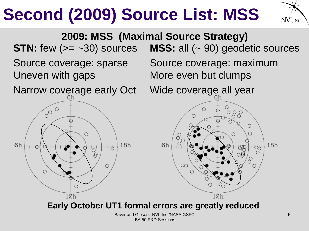



Baver and Gipson, NVI, Inc./NASA GSFC BA 50 R&D Sessions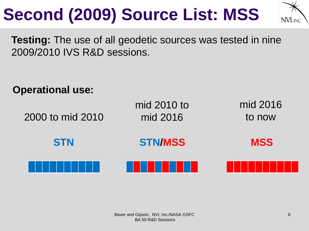

**Testing:** The use of all geodetic sources was tested in nine 2009/2010 IVS R&D sessions.

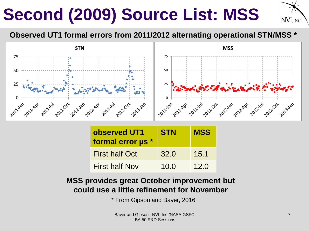

#### **Observed UT1 formal errors from 2011/2012 alternating operational STN/MSS \***



| observed UT1<br>formal error us * | <b>STN</b> | <b>MSS</b> |
|-----------------------------------|------------|------------|
| <b>First half Oct</b>             | 32.0       | 15.1       |
| <b>First half Nov</b>             | 10.0       | 12.0       |

#### **MSS provides great October improvement but could use a little refinement for November**

\* From Gipson and Baver, 2016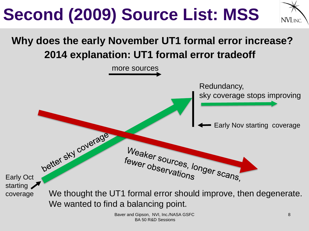

### **2014 explanation: UT1 formal error tradeoff Why does the early November UT1 formal error increase?**

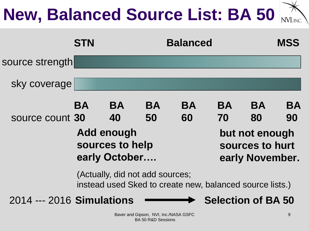# **New, Balanced Source List: BA 50**

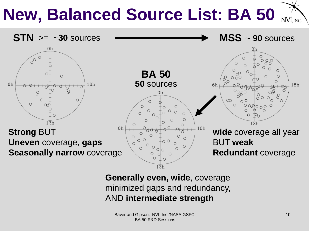#### **New, Balanced Source List: BA 50** NVI, INC.



#### **Generally even, wide**, coverage minimized gaps and redundancy, AND **intermediate strength**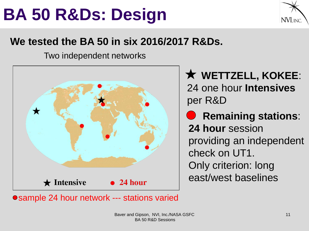### **BA 50 R&Ds: Design**



### **We tested the BA 50 in six 2016/2017 R&Ds.**

Two independent networks



**WETTZELL, KOKEE**: 24 one hour **Intensives** per R&D

**C** Remaining stations: **24 hour** session providing an independent check on UT1. Only criterion: long east/west baselines

● sample 24 hour network --- stations varied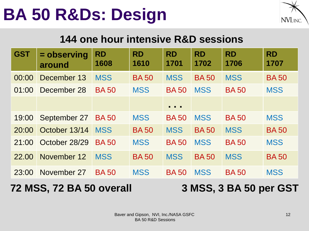### **BA 50 R&Ds: Design**



#### **144 one hour intensive R&D sessions**

| <b>GST</b>                                         | = observing<br>around | <b>RD</b><br>1608 | <b>RD</b><br>1610 | <b>RD</b><br>1701                                            | <b>RD</b><br>1702 | <b>RD</b><br>1706 | <b>RD</b><br>1707 |
|----------------------------------------------------|-----------------------|-------------------|-------------------|--------------------------------------------------------------|-------------------|-------------------|-------------------|
| 00:00                                              | December 13           | <b>MSS</b>        | <b>BA50</b>       | <b>MSS</b>                                                   | <b>BA50</b>       | <b>MSS</b>        | <b>BA50</b>       |
| 01:00                                              | December 28           | <b>BA50</b>       | <b>MSS</b>        | <b>BA50</b>                                                  | <b>MSS</b>        | <b>BA50</b>       | <b>MSS</b>        |
|                                                    |                       |                   |                   | $\begin{array}{ccc} \bullet & \bullet & \bullet \end{array}$ |                   |                   |                   |
| 19:00                                              | September 27          | <b>BA50</b>       | <b>MSS</b>        | <b>BA50</b>                                                  | <b>MSS</b>        | <b>BA50</b>       | <b>MSS</b>        |
| 20:00                                              | October 13/14         | <b>MSS</b>        | <b>BA50</b>       | <b>MSS</b>                                                   | <b>BA50</b>       | <b>MSS</b>        | <b>BA50</b>       |
| 21:00                                              | October 28/29         | <b>BA50</b>       | <b>MSS</b>        | <b>BA50</b>                                                  | <b>MSS</b>        | <b>BA50</b>       | <b>MSS</b>        |
| 22.00                                              | November 12           | <b>MSS</b>        | <b>BA50</b>       | <b>MSS</b>                                                   | <b>BA50</b>       | <b>MSS</b>        | <b>BA50</b>       |
| 23:00                                              | November 27           | <b>BA50</b>       | <b>MSS</b>        | <b>BA50</b>                                                  | <b>MSS</b>        | <b>BA50</b>       | <b>MSS</b>        |
| 72 MSS, 72 BA 50 overall<br>3 MSS, 3 BA 50 per GST |                       |                   |                   |                                                              |                   |                   |                   |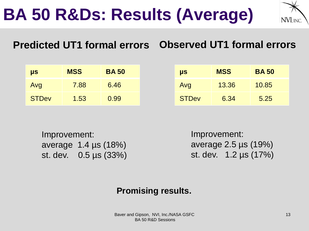**BA 50 R&Ds: Results (Average)**



### **Predicted UT1 formal errors Observed UT1 formal errors**

| $\mu s$      | <b>MSS</b> | <b>BA 50</b> |
|--------------|------------|--------------|
| Avg          | 7.88       | 6.46         |
| <b>STDev</b> | 1.53       | 0.99         |

| <b>US</b>    | <b>MSS</b> | <b>BA50</b> |
|--------------|------------|-------------|
| Avg          | 13.36      | 10.85       |
| <b>STDev</b> | 6.34       | 5.25        |

Improvement: average 1.4 µs (18%) st. dev. 0.5 µs (33%) Improvement: average 2.5 µs (19%) st. dev. 1.2 µs (17%)

#### **Promising results.**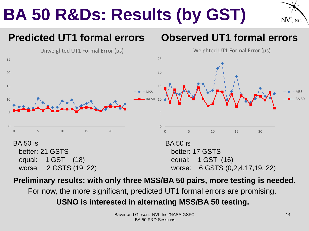### **BA 50 R&Ds: Results (by GST)**



#### **Predicted UT1 formal errors**  $\Omega$ 5 10 15 20 25 0 5 10 15 20 Weighted UT1 Formal Error (µs) MSS BA 50 **Observed UT1 formal errors**  $\Omega$ 5 10 15 20 25 0 5 10 15 20 Unweighted UT1 Formal Error (µs) MSS BA 50 BA 50 is better: 21 GSTS equal: 1 GST (18) worse: 2 GSTS (19, 22) BA 50 is better: 17 GSTS equal: 1 GST (16) worse: 6 GSTS (0,2,4,17,19, 22)

#### **Preliminary results: with only three MSS/BA 50 pairs, more testing is needed.**

For now, the more significant, predicted UT1 formal errors are promising.

#### **USNO is interested in alternating MSS/BA 50 testing.**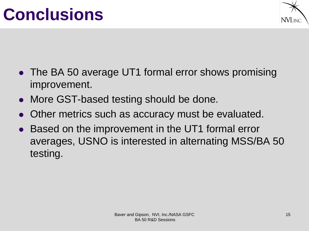### **Conclusions**



- The BA 50 average UT1 formal error shows promising improvement.
- More GST-based testing should be done.
- ⚫ Other metrics such as accuracy must be evaluated.
- ⚫ Based on the improvement in the UT1 formal error averages, USNO is interested in alternating MSS/BA 50 testing.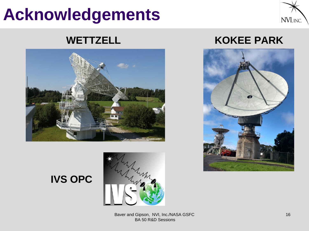### **Acknowledgements**





**IVS OPC** 



#### **WETTZELL KOKEE PARK**



#### Baver and Gipson, NVI, Inc./NASA GSFC BA 50 R&D Sessions